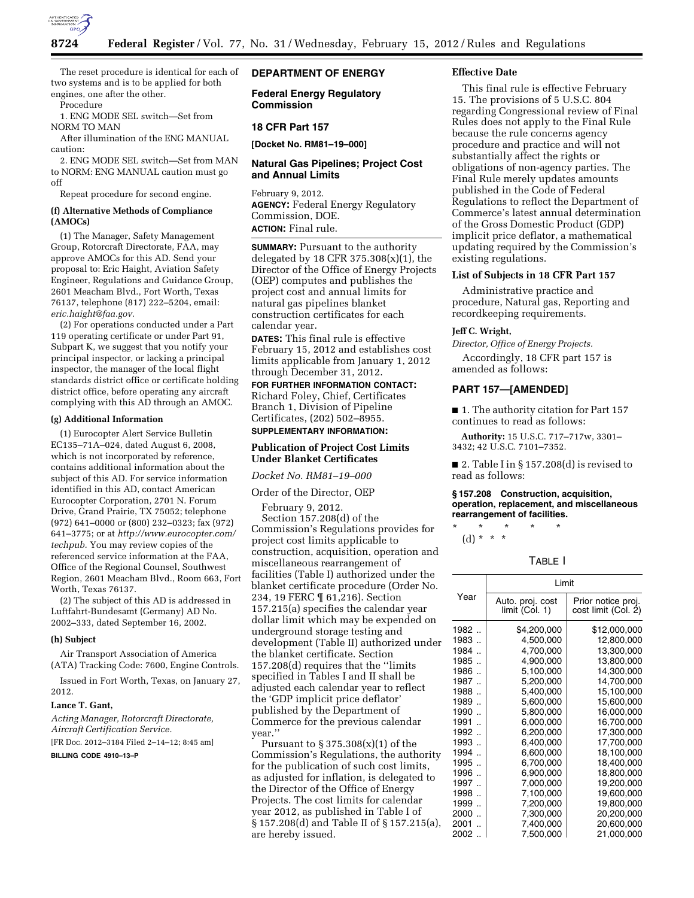

The reset procedure is identical for each of two systems and is to be applied for both engines, one after the other.

Procedure

1. ENG MODE SEL switch—Set from NORM TO MAN

After illumination of the ENG MANUAL caution:

2. ENG MODE SEL switch—Set from MAN to NORM: ENG MANUAL caution must go off

Repeat procedure for second engine.

### **(f) Alternative Methods of Compliance (AMOCs)**

(1) The Manager, Safety Management Group, Rotorcraft Directorate, FAA, may approve AMOCs for this AD. Send your proposal to: Eric Haight, Aviation Safety Engineer, Regulations and Guidance Group, 2601 Meacham Blvd., Fort Worth, Texas 76137, telephone (817) 222–5204, email: *[eric.haight@faa.gov.](mailto:eric.haight@faa.gov)* 

(2) For operations conducted under a Part 119 operating certificate or under Part 91, Subpart K, we suggest that you notify your principal inspector, or lacking a principal inspector, the manager of the local flight standards district office or certificate holding district office, before operating any aircraft complying with this AD through an AMOC.

#### **(g) Additional Information**

(1) Eurocopter Alert Service Bulletin EC135–71A–024, dated August 6, 2008, which is not incorporated by reference, contains additional information about the subject of this AD. For service information identified in this AD, contact American Eurocopter Corporation, 2701 N. Forum Drive, Grand Prairie, TX 75052; telephone (972) 641–0000 or (800) 232–0323; fax (972) 641–3775; or at *[http://www.eurocopter.com/](http://www.eurocopter.com/techpub) [techpub.](http://www.eurocopter.com/techpub)* You may review copies of the referenced service information at the FAA, Office of the Regional Counsel, Southwest Region, 2601 Meacham Blvd., Room 663, Fort Worth, Texas 76137.

(2) The subject of this AD is addressed in Luftfahrt-Bundesamt (Germany) AD No. 2002–333, dated September 16, 2002.

#### **(h) Subject**

Air Transport Association of America (ATA) Tracking Code: 7600, Engine Controls.

Issued in Fort Worth, Texas, on January 27, 2012.

#### **Lance T. Gant,**

*Acting Manager, Rotorcraft Directorate, Aircraft Certification Service.* 

[FR Doc. 2012–3184 Filed 2–14–12; 8:45 am]

**BILLING CODE 4910–13–P** 

## **DEPARTMENT OF ENERGY**

**Federal Energy Regulatory Commission** 

## **18 CFR Part 157**

**[Docket No. RM81–19–000]** 

#### **Natural Gas Pipelines; Project Cost and Annual Limits**

February 9, 2012. **AGENCY:** Federal Energy Regulatory Commission, DOE. **ACTION:** Final rule.

**SUMMARY:** Pursuant to the authority delegated by 18 CFR  $375.308(x)(1)$ , the Director of the Office of Energy Projects (OEP) computes and publishes the project cost and annual limits for natural gas pipelines blanket construction certificates for each calendar year.

**DATES:** This final rule is effective February 15, 2012 and establishes cost limits applicable from January 1, 2012 through December 31, 2012.

**FOR FURTHER INFORMATION CONTACT:**  Richard Foley, Chief, Certificates Branch 1, Division of Pipeline Certificates, (202) 502–8955. **SUPPLEMENTARY INFORMATION:** 

#### **Publication of Project Cost Limits Under Blanket Certificates**

*Docket No. RM81–19–000* 

Order of the Director, OEP

February 9, 2012. Section 157.208(d) of the Commission's Regulations provides for project cost limits applicable to construction, acquisition, operation and miscellaneous rearrangement of facilities (Table I) authorized under the blanket certificate procedure (Order No. 234, 19 FERC ¶ 61,216). Section 157.215(a) specifies the calendar year dollar limit which may be expended on underground storage testing and development (Table II) authorized under the blanket certificate. Section 157.208(d) requires that the ''limits specified in Tables I and II shall be adjusted each calendar year to reflect the 'GDP implicit price deflator' published by the Department of Commerce for the previous calendar year.''

Pursuant to  $\S 375.308(x)(1)$  of the Commission's Regulations, the authority for the publication of such cost limits, as adjusted for inflation, is delegated to the Director of the Office of Energy Projects. The cost limits for calendar year 2012, as published in Table I of § 157.208(d) and Table II of § 157.215(a), are hereby issued.

#### **Effective Date**

This final rule is effective February 15. The provisions of 5 U.S.C. 804 regarding Congressional review of Final Rules does not apply to the Final Rule because the rule concerns agency procedure and practice and will not substantially affect the rights or obligations of non-agency parties. The Final Rule merely updates amounts published in the Code of Federal Regulations to reflect the Department of Commerce's latest annual determination of the Gross Domestic Product (GDP) implicit price deflator, a mathematical updating required by the Commission's existing regulations.

### **List of Subjects in 18 CFR Part 157**

Administrative practice and procedure, Natural gas, Reporting and recordkeeping requirements.

#### **Jeff C. Wright,**

*Director, Office of Energy Projects.* 

Accordingly, 18 CFR part 157 is amended as follows:

## **PART 157—[AMENDED]**

■ 1. The authority citation for Part 157 continues to read as follows:

**Authority:** 15 U.S.C. 717–717w, 3301– 3432; 42 U.S.C. 7101–7352.

■ 2. Table I in § 157.208(d) is revised to read as follows:

#### **§ 157.208 Construction, acquisition, operation, replacement, and miscellaneous rearrangement of facilities.**

\* \* \* \* \*  $(d) * * * *$ 

### TABLE I

| Year                         | Limit                              |                                           |  |
|------------------------------|------------------------------------|-------------------------------------------|--|
|                              | Auto. proj. cost<br>limit (Col. 1) | Prior notice proj.<br>cost limit (Col. 2) |  |
| 1982                         | \$4,200,000                        | \$12,000,000                              |  |
| 1983                         | 4,500,000                          | 12,800,000                                |  |
| 1984                         | 4,700,000                          | 13,300,000                                |  |
| 1985                         | 4,900,000                          | 13,800,000                                |  |
| 1986                         | 5,100,000                          | 14,300,000                                |  |
| 1987                         | 5,200,000                          | 14,700,000                                |  |
| 1988                         | 5,400,000                          | 15,100,000                                |  |
| 1989                         | 5,600,000                          | 15,600,000                                |  |
| 1990                         | 5,800,000                          | 16,000,000                                |  |
| 1991                         | 6,000,000                          | 16,700,000                                |  |
| 1992                         | 6,200,000                          | 17,300,000                                |  |
| 1993                         | 6,400,000                          | 17,700,000                                |  |
| 1994                         | 6,600,000                          | 18,100,000                                |  |
| 1995                         | 6,700,000                          | 18,400,000                                |  |
| 1996                         | 6.900,000                          | 18,800,000                                |  |
| 1997                         | 7,000,000                          | 19,200,000                                |  |
| 1998                         | 7,100,000                          | 19,600,000                                |  |
| 1999                         | 7,200,000                          | 19,800,000                                |  |
| 2000<br>$\ddot{\phantom{a}}$ | 7,300,000                          | 20,200,000                                |  |
| 2001                         | 7,400,000                          | 20,600,000                                |  |
| 2002<br>$\ddot{\phantom{0}}$ | 7.500.000                          | 21.000.000                                |  |